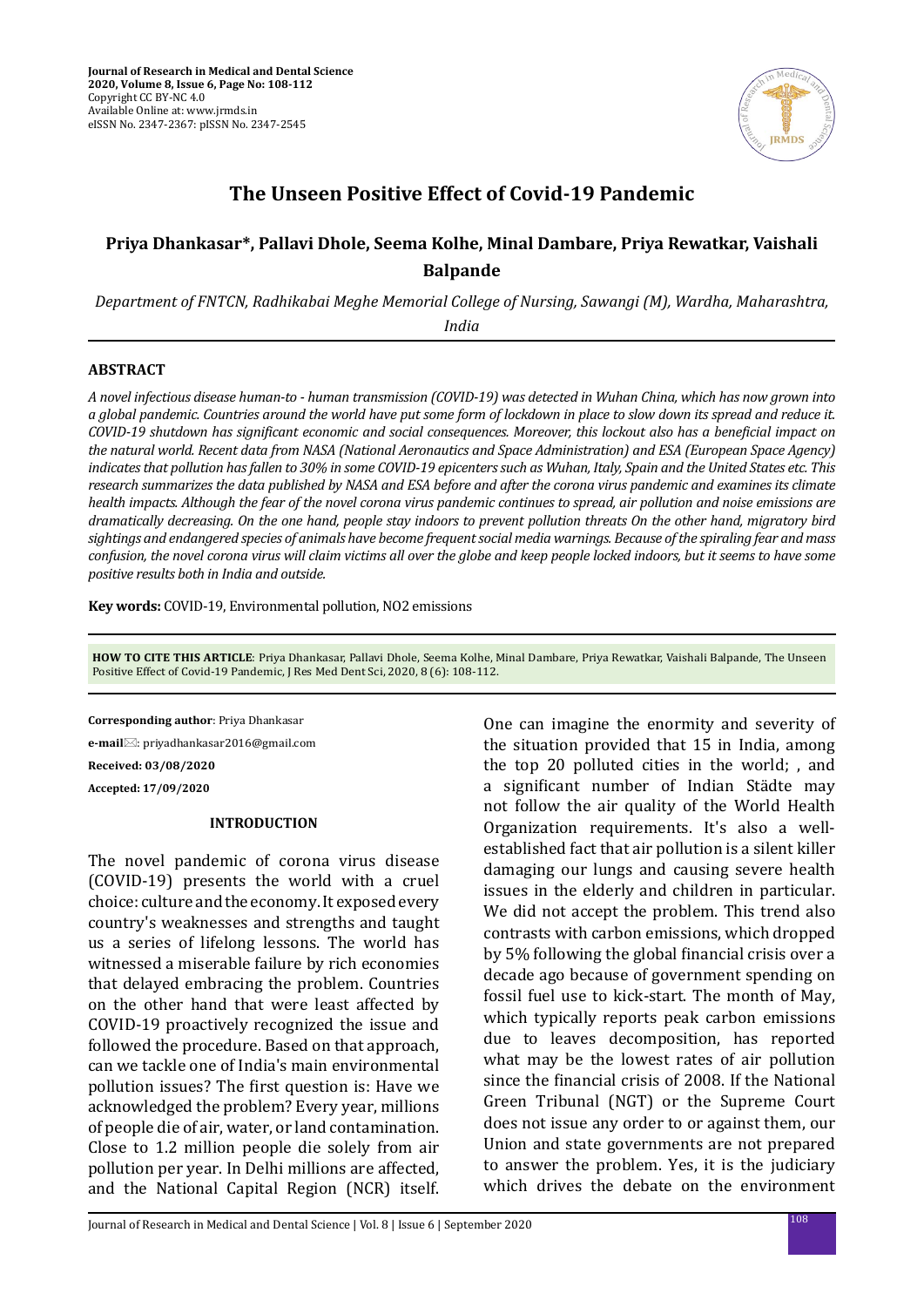

# **The Unseen Positive Effect of Covid-19 Pandemic**

## **Priya Dhankasar\*, Pallavi Dhole, Seema Kolhe, Minal Dambare, Priya Rewatkar, Vaishali Balpande**

*Department of FNTCN, Radhikabai Meghe Memorial College of Nursing, Sawangi (M), Wardha, Maharashtra, India*

#### **ABSTRACT**

*A novel infectious disease human-to - human transmission (COVID-19) was detected in Wuhan China, which has now grown into a global pandemic. Countries around the world have put some form of lockdown in place to slow down its spread and reduce it. COVID-19 shutdown has significant economic and social consequences. Moreover, this lockout also has a beneficial impact on the natural world. Recent data from NASA (National Aeronautics and Space Administration) and ESA (European Space Agency) indicates that pollution has fallen to 30% in some COVID-19 epicenters such as Wuhan, Italy, Spain and the United States etc. This research summarizes the data published by NASA and ESA before and after the corona virus pandemic and examines its climate health impacts. Although the fear of the novel corona virus pandemic continues to spread, air pollution and noise emissions are dramatically decreasing. On the one hand, people stay indoors to prevent pollution threats On the other hand, migratory bird sightings and endangered species of animals have become frequent social media warnings. Because of the spiraling fear and mass confusion, the novel corona virus will claim victims all over the globe and keep people locked indoors, but it seems to have some positive results both in India and outside.*

**Key words:** COVID-19, Environmental pollution, NO2 emissions

**HOW TO CITE THIS ARTICLE**: Priya Dhankasar, Pallavi Dhole, Seema Kolhe, Minal Dambare, Priya Rewatkar, Vaishali Balpande, The Unseen Positive Effect of Covid-19 Pandemic, J Res Med Dent Sci, 2020, 8 (6): 108-112.

**Corresponding author**: Priya Dhankasar **e-mail**: priyadhankasar2016@gmail.com **Received: 03/08/2020 Accepted: 17/09/2020**

#### **INTRODUCTION**

The novel pandemic of corona virus disease (COVID-19) presents the world with a cruel choice: culture and the economy. It exposed every country's weaknesses and strengths and taught us a series of lifelong lessons. The world has witnessed a miserable failure by rich economies that delayed embracing the problem. Countries on the other hand that were least affected by COVID-19 proactively recognized the issue and followed the procedure. Based on that approach, can we tackle one of India's main environmental pollution issues? The first question is: Have we acknowledged the problem? Every year, millions of people die of air, water, or land contamination. Close to 1.2 million people die solely from air pollution per year. In Delhi millions are affected, and the National Capital Region (NCR) itself.

One can imagine the enormity and severity of the situation provided that 15 in India, among the top 20 polluted cities in the world; , and a significant number of Indian Städte may not follow the air quality of the World Health Organization requirements. It's also a wellestablished fact that air pollution is a silent killer damaging our lungs and causing severe health issues in the elderly and children in particular. We did not accept the problem. This trend also contrasts with carbon emissions, which dropped by 5% following the global financial crisis over a decade ago because of government spending on fossil fuel use to kick-start. The month of May, which typically reports peak carbon emissions due to leaves decomposition, has reported what may be the lowest rates of air pollution since the financial crisis of 2008. If the National Green Tribunal (NGT) or the Supreme Court does not issue any order to or against them, our Union and state governments are not prepared to answer the problem. Yes, it is the judiciary which drives the debate on the environment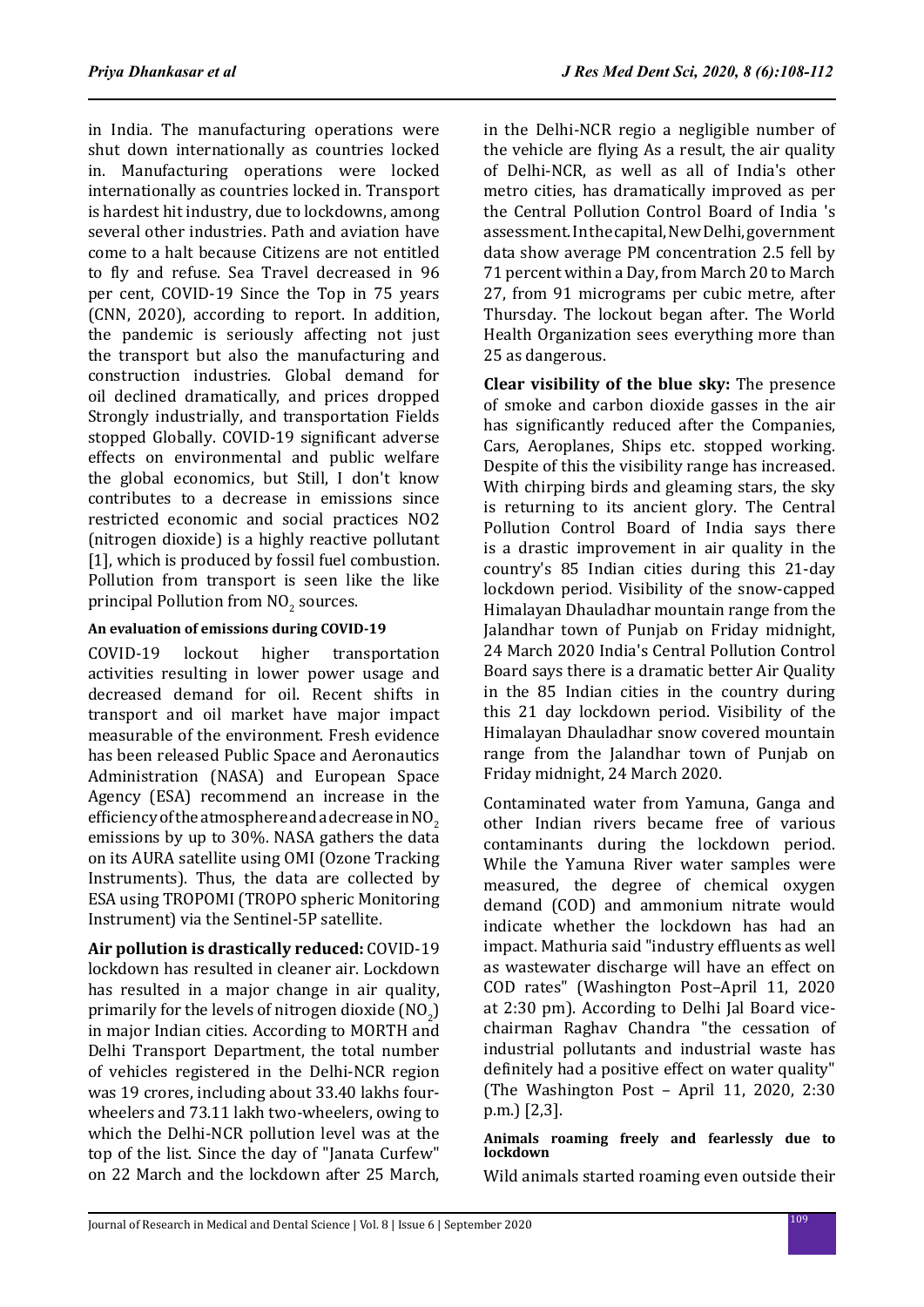in India. The manufacturing operations were shut down internationally as countries locked in. Manufacturing operations were locked internationally as countries locked in. Transport is hardest hit industry, due to lockdowns, among several other industries. Path and aviation have come to a halt because Citizens are not entitled to fly and refuse. Sea Travel decreased in 96 per cent, COVID-19 Since the Top in 75 years (CNN, 2020), according to report. In addition, the pandemic is seriously affecting not just the transport but also the manufacturing and construction industries. Global demand for oil declined dramatically, and prices dropped Strongly industrially, and transportation Fields stopped Globally. COVID-19 significant adverse effects on environmental and public welfare the global economics, but Still, I don't know contributes to a decrease in emissions since restricted economic and social practices NO2 (nitrogen dioxide) is a highly reactive pollutant [1], which is produced by fossil fuel combustion. Pollution from transport is seen like the like principal Pollution from  $\rm NO_2$  sources.

## **An evaluation of emissions during COVID-19**

COVID-19 lockout higher transportation activities resulting in lower power usage and decreased demand for oil. Recent shifts in transport and oil market have major impact measurable of the environment. Fresh evidence has been released Public Space and Aeronautics Administration (NASA) and European Space Agency (ESA) recommend an increase in the efficiency of the atmosphere and a decrease in  $NO<sub>2</sub>$ emissions by up to 30%. NASA gathers the data on its AURA satellite using OMI (Ozone Tracking Instruments). Thus, the data are collected by ESA using TROPOMI (TROPO spheric Monitoring Instrument) via the Sentinel-5P satellite.

**Air pollution is drastically reduced:** COVID-19 lockdown has resulted in cleaner air. Lockdown has resulted in a major change in air quality, primarily for the levels of nitrogen dioxide  $\left[\mathsf{NO}_2\right]$ in major Indian cities. According to MORTH and Delhi Transport Department, the total number of vehicles registered in the Delhi-NCR region was 19 crores, including about 33.40 lakhs fourwheelers and 73.11 lakh two-wheelers, owing to which the Delhi-NCR pollution level was at the top of the list. Since the day of "Janata Curfew" on 22 March and the lockdown after 25 March, in the Delhi-NCR regio a negligible number of the vehicle are flying As a result, the air quality of Delhi-NCR, as well as all of India's other metro cities, has dramatically improved as per the Central Pollution Control Board of India 's assessment. In the capital, New Delhi, government data show average PM concentration 2.5 fell by 71 percent within a Day, from March 20 to March 27, from 91 micrograms per cubic metre, after Thursday. The lockout began after. The World Health Organization sees everything more than 25 as dangerous.

**Clear visibility of the blue sky:** The presence of smoke and carbon dioxide gasses in the air has significantly reduced after the Companies, Cars, Aeroplanes, Ships etc. stopped working. Despite of this the visibility range has increased. With chirping birds and gleaming stars, the sky is returning to its ancient glory. The Central Pollution Control Board of India says there is a drastic improvement in air quality in the country's 85 Indian cities during this 21-day lockdown period. Visibility of the snow-capped Himalayan Dhauladhar mountain range from the Jalandhar town of Punjab on Friday midnight, 24 March 2020 India's Central Pollution Control Board says there is a dramatic better Air Quality in the 85 Indian cities in the country during this 21 day lockdown period. Visibility of the Himalayan Dhauladhar snow covered mountain range from the Jalandhar town of Punjab on Friday midnight, 24 March 2020.

Contaminated water from Yamuna, Ganga and other Indian rivers became free of various contaminants during the lockdown period. While the Yamuna River water samples were measured, the degree of chemical oxygen demand (COD) and ammonium nitrate would indicate whether the lockdown has had an impact. Mathuria said "industry effluents as well as wastewater discharge will have an effect on COD rates" (Washington Post–April 11, 2020 at 2:30 pm). According to Delhi Jal Board vicechairman Raghav Chandra "the cessation of industrial pollutants and industrial waste has definitely had a positive effect on water quality" (The Washington Post – April 11, 2020, 2:30 p.m.) [2,3].

#### **Animals roaming freely and fearlessly due to lockdown**

Wild animals started roaming even outside their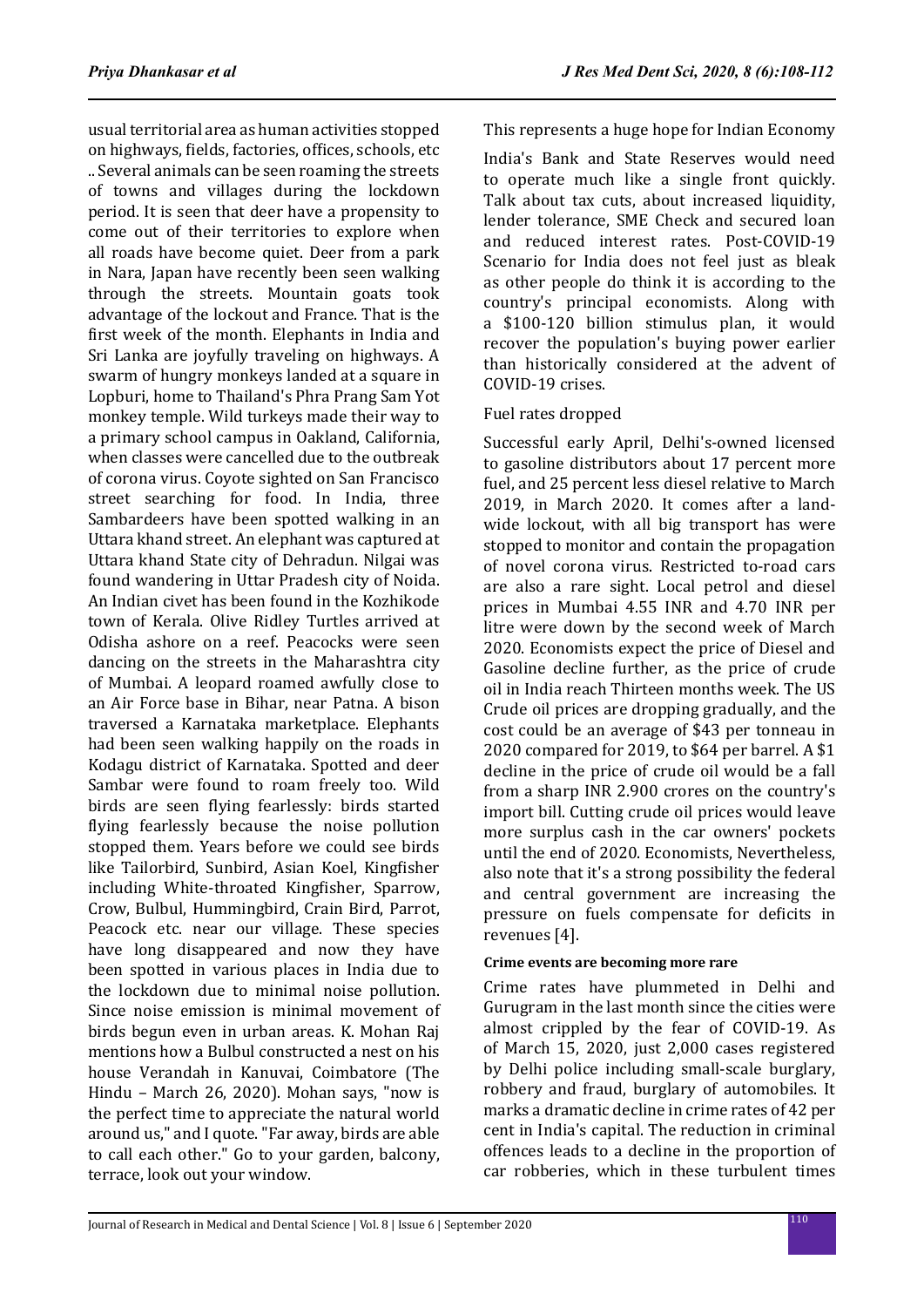usual territorial area as human activities stopped on highways, fields, factories, offices, schools, etc .. Several animals can be seen roaming the streets of towns and villages during the lockdown period. It is seen that deer have a propensity to come out of their territories to explore when all roads have become quiet. Deer from a park in Nara, Japan have recently been seen walking through the streets. Mountain goats took advantage of the lockout and France. That is the first week of the month. Elephants in India and Sri Lanka are joyfully traveling on highways. A swarm of hungry monkeys landed at a square in Lopburi, home to Thailand's Phra Prang Sam Yot monkey temple. Wild turkeys made their way to a primary school campus in Oakland, California, when classes were cancelled due to the outbreak of corona virus. Coyote sighted on San Francisco street searching for food. In India, three Sambardeers have been spotted walking in an Uttara khand street. An elephant was captured at Uttara khand State city of Dehradun. Nilgai was found wandering in Uttar Pradesh city of Noida. An Indian civet has been found in the Kozhikode town of Kerala. Olive Ridley Turtles arrived at Odisha ashore on a reef. Peacocks were seen dancing on the streets in the Maharashtra city of Mumbai. A leopard roamed awfully close to an Air Force base in Bihar, near Patna. A bison traversed a Karnataka marketplace. Elephants had been seen walking happily on the roads in Kodagu district of Karnataka. Spotted and deer Sambar were found to roam freely too. Wild birds are seen flying fearlessly: birds started flying fearlessly because the noise pollution stopped them. Years before we could see birds like Tailorbird, Sunbird, Asian Koel, Kingfisher including White-throated Kingfisher, Sparrow, Crow, Bulbul, Hummingbird, Crain Bird, Parrot, Peacock etc. near our village. These species have long disappeared and now they have been spotted in various places in India due to the lockdown due to minimal noise pollution. Since noise emission is minimal movement of birds begun even in urban areas. K. Mohan Raj mentions how a Bulbul constructed a nest on his house Verandah in Kanuvai, Coimbatore (The Hindu – March 26, 2020). Mohan says, "now is the perfect time to appreciate the natural world around us," and I quote. "Far away, birds are able to call each other." Go to your garden, balcony, terrace, look out your window.

This represents a huge hope for Indian Economy

India's Bank and State Reserves would need to operate much like a single front quickly. Talk about tax cuts, about increased liquidity, lender tolerance, SME Check and secured loan and reduced interest rates. Post-COVID-19 Scenario for India does not feel just as bleak as other people do think it is according to the country's principal economists. Along with a \$100-120 billion stimulus plan, it would recover the population's buying power earlier than historically considered at the advent of COVID-19 crises.

#### Fuel rates dropped

Successful early April, Delhi's-owned licensed to gasoline distributors about 17 percent more fuel, and 25 percent less diesel relative to March 2019, in March 2020. It comes after a landwide lockout, with all big transport has were stopped to monitor and contain the propagation of novel corona virus. Restricted to-road cars are also a rare sight. Local petrol and diesel prices in Mumbai 4.55 INR and 4.70 INR per litre were down by the second week of March 2020. Economists expect the price of Diesel and Gasoline decline further, as the price of crude oil in India reach Thirteen months week. The US Crude oil prices are dropping gradually, and the cost could be an average of \$43 per tonneau in 2020 compared for 2019, to \$64 per barrel. A \$1 decline in the price of crude oil would be a fall from a sharp INR 2.900 crores on the country's import bill. Cutting crude oil prices would leave more surplus cash in the car owners' pockets until the end of 2020. Economists, Nevertheless, also note that it's a strong possibility the federal and central government are increasing the pressure on fuels compensate for deficits in revenues [4].

#### **Crime events are becoming more rare**

Crime rates have plummeted in Delhi and Gurugram in the last month since the cities were almost crippled by the fear of COVID-19. As of March 15, 2020, just 2,000 cases registered by Delhi police including small-scale burglary, robbery and fraud, burglary of automobiles. It marks a dramatic decline in crime rates of 42 per cent in India's capital. The reduction in criminal offences leads to a decline in the proportion of car robberies, which in these turbulent times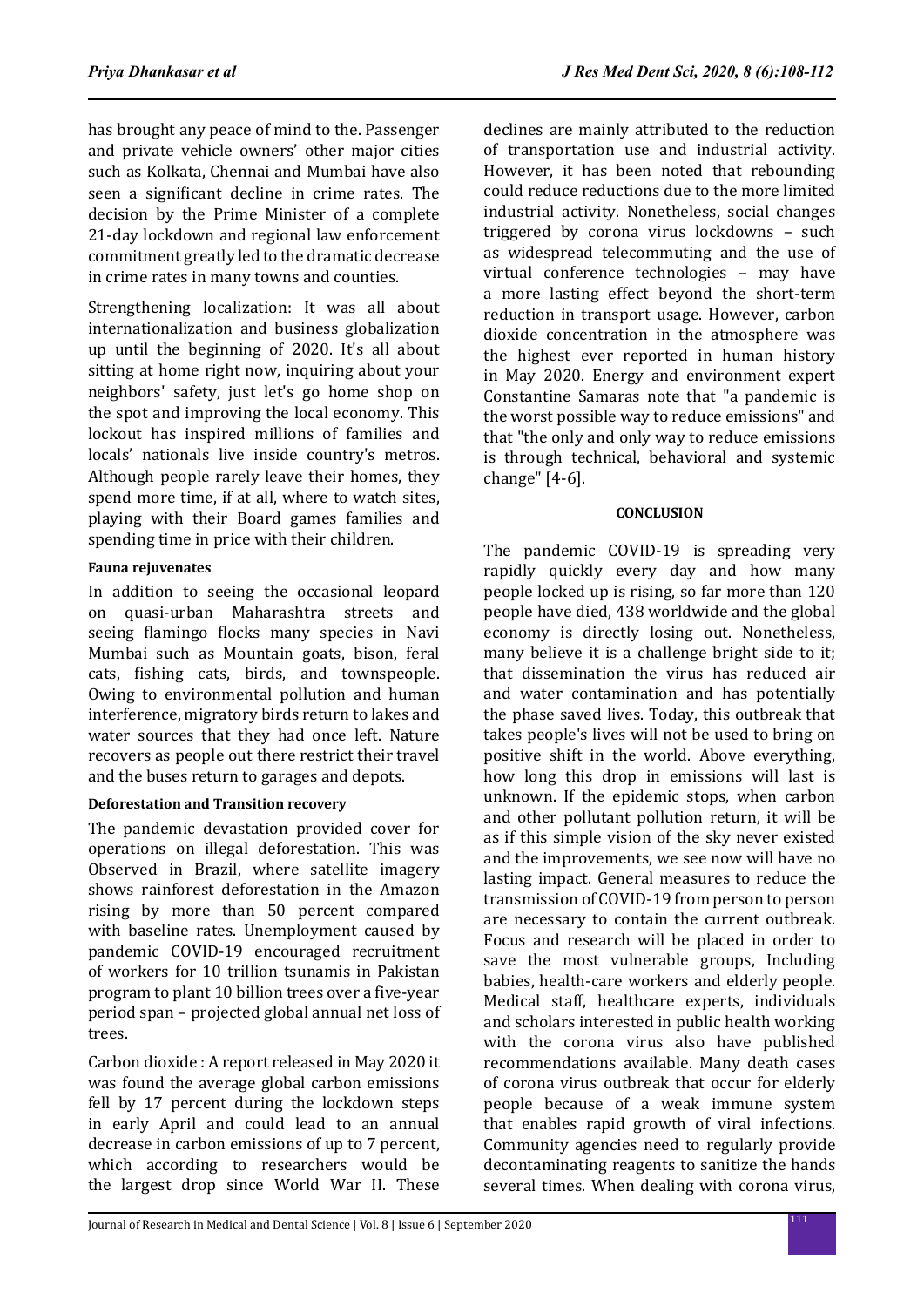has brought any peace of mind to the. Passenger and private vehicle owners' other major cities such as Kolkata, Chennai and Mumbai have also seen a significant decline in crime rates. The decision by the Prime Minister of a complete 21-day lockdown and regional law enforcement commitment greatly led to the dramatic decrease in crime rates in many towns and counties.

Strengthening localization: It was all about internationalization and business globalization up until the beginning of 2020. It's all about sitting at home right now, inquiring about your neighbors' safety, just let's go home shop on the spot and improving the local economy. This lockout has inspired millions of families and locals' nationals live inside country's metros. Although people rarely leave their homes, they spend more time, if at all, where to watch sites, playing with their Board games families and spending time in price with their children.

## **Fauna rejuvenates**

In addition to seeing the occasional leopard on quasi-urban Maharashtra streets and seeing flamingo flocks many species in Navi Mumbai such as Mountain goats, bison, feral cats, fishing cats, birds, and townspeople. Owing to environmental pollution and human interference, migratory birds return to lakes and water sources that they had once left. Nature recovers as people out there restrict their travel and the buses return to garages and depots.

## **Deforestation and Transition recovery**

The pandemic devastation provided cover for operations on illegal deforestation. This was Observed in Brazil, where satellite imagery shows rainforest deforestation in the Amazon rising by more than 50 percent compared with baseline rates. Unemployment caused by pandemic COVID-19 encouraged recruitment of workers for 10 trillion tsunamis in Pakistan program to plant 10 billion trees over a five-year period span – projected global annual net loss of trees.

Carbon dioxide : A report released in May 2020 it was found the average global carbon emissions fell by 17 percent during the lockdown steps in early April and could lead to an annual decrease in carbon emissions of up to 7 percent, which according to researchers would be the largest drop since World War II. These declines are mainly attributed to the reduction of transportation use and industrial activity. However, it has been noted that rebounding could reduce reductions due to the more limited industrial activity. Nonetheless, social changes triggered by corona virus lockdowns – such as widespread telecommuting and the use of virtual conference technologies – may have a more lasting effect beyond the short-term reduction in transport usage. However, carbon dioxide concentration in the atmosphere was the highest ever reported in human history in May 2020. Energy and environment expert Constantine Samaras note that "a pandemic is the worst possible way to reduce emissions" and that "the only and only way to reduce emissions is through technical, behavioral and systemic change" [4-6].

## **CONCLUSION**

The pandemic COVID-19 is spreading very rapidly quickly every day and how many people locked up is rising, so far more than 120 people have died, 438 worldwide and the global economy is directly losing out. Nonetheless, many believe it is a challenge bright side to it; that dissemination the virus has reduced air and water contamination and has potentially the phase saved lives. Today, this outbreak that takes people's lives will not be used to bring on positive shift in the world. Above everything, how long this drop in emissions will last is unknown. If the epidemic stops, when carbon and other pollutant pollution return, it will be as if this simple vision of the sky never existed and the improvements, we see now will have no lasting impact. General measures to reduce the transmission of COVID-19 from person to person are necessary to contain the current outbreak. Focus and research will be placed in order to save the most vulnerable groups, Including babies, health-care workers and elderly people. Medical staff, healthcare experts, individuals and scholars interested in public health working with the corona virus also have published recommendations available. Many death cases of corona virus outbreak that occur for elderly people because of a weak immune system that enables rapid growth of viral infections. Community agencies need to regularly provide decontaminating reagents to sanitize the hands several times. When dealing with corona virus,